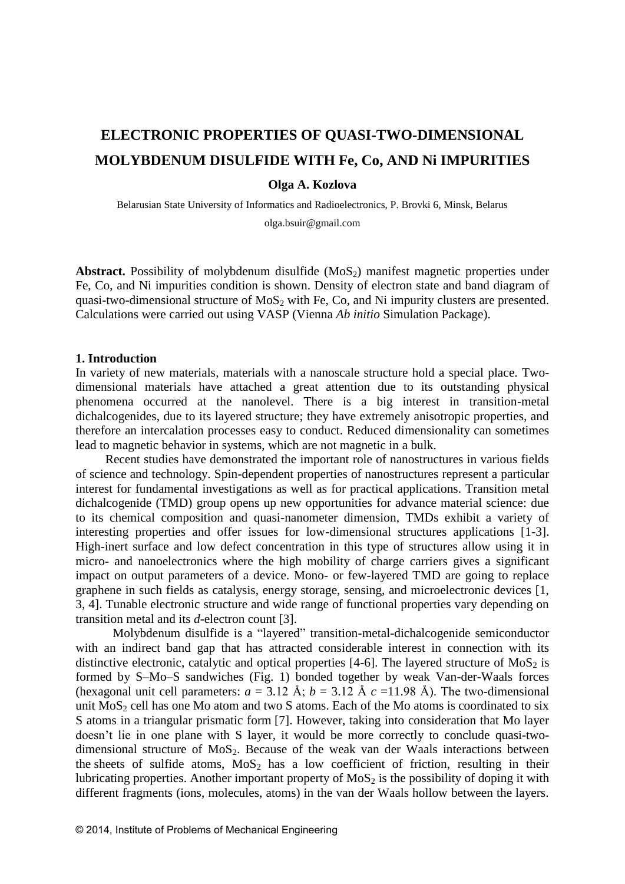# **ELECTRONIC PROPERTIES OF QUASI-TWO-DIMENSIONAL MOLYBDENUM DISULFIDE WITH Fe, Co, AND Ni IMPURITIES**

### **Olga A. Kozlova**

Belarusian State University of Informatics and Radioelectronics, P. Brovki 6, Minsk, Belarus olga.bsuir@gmail.com

**Abstract.** Possibility of molybdenum disulfide  $(MoS<sub>2</sub>)$  manifest magnetic properties under Fe, Co, and Ni impurities condition is shown. Density of electron state and band diagram of quasi-two-dimensional structure of  $MoS<sub>2</sub>$  with Fe, Co, and Ni impurity clusters are presented. Calculations were carried out using VASP (Vienna *Ab initio* Simulation Package).

#### **1. Introduction**

In variety of new materials, materials with a nanoscale structure hold a special place. Twodimensional materials have attached a great attention due to its outstanding physical phenomena occurred at the nanolevel. There is a big interest in transition-metal dichalcogenides, due to its layered structure; they have extremely anisotropic properties, and therefore an intercalation processes easy to conduct. Reduced dimensionality can sometimes lead to magnetic behavior in systems, which are not magnetic in a bulk.

Recent studies have demonstrated the important role of nanostructures in various fields of science and technology. Spin-dependent properties of nanostructures represent a particular interest for fundamental investigations as well as for practical applications. Transition metal dichalcogenide (TMD) group opens up new opportunities for advance material science: due to its chemical composition and quasi-nanometer dimension, TMDs exhibit a variety of interesting properties and offer issues for low-dimensional structures applications [1-3]. High-inert surface and low defect concentration in this type of structures allow using it in micro- and nanoelectronics where the high mobility of charge carriers gives a significant impact on output parameters of a device. Mono- or few-layered TMD are going to replace graphene in such fields as catalysis, energy storage, sensing, and microelectronic devices [1, 3, 4]. Tunable electronic structure and wide range of functional properties vary depending on transition metal and its *d*-electron count [3].

 Molybdenum disulfide is a "layered" transition-metal-dichalcogenide semiconductor with an indirect band gap that has attracted considerable interest in connection with its distinctive electronic, catalytic and optical properties [4-6]. The layered structure of  $MoS<sub>2</sub>$  is formed by S–Mo–S sandwiches (Fig. 1) bonded together by weak Van-der-Waals forces (hexagonal unit cell parameters:  $a = 3.12$  Å;  $b = 3.12$  Å  $c = 11.98$  Å). The two-dimensional unit  $MoS<sub>2</sub>$  cell has one Mo atom and two S atoms. Each of the Mo atoms is coordinated to six S atoms in a triangular prismatic form [7]. However, taking into consideration that Mo layer doesn't lie in one plane with S layer, it would be more correctly to conclude quasi-twodimensional structure of  $MoS<sub>2</sub>$ . Because of the weak van der Waals interactions between the sheets of sulfide atoms,  $MoS<sub>2</sub>$  has a low coefficient of friction, resulting in their lubricating properties. Another important property of  $MoS<sub>2</sub>$  is the possibility of doping it with different fragments (ions, molecules, atoms) in the van der Waals hollow between the layers.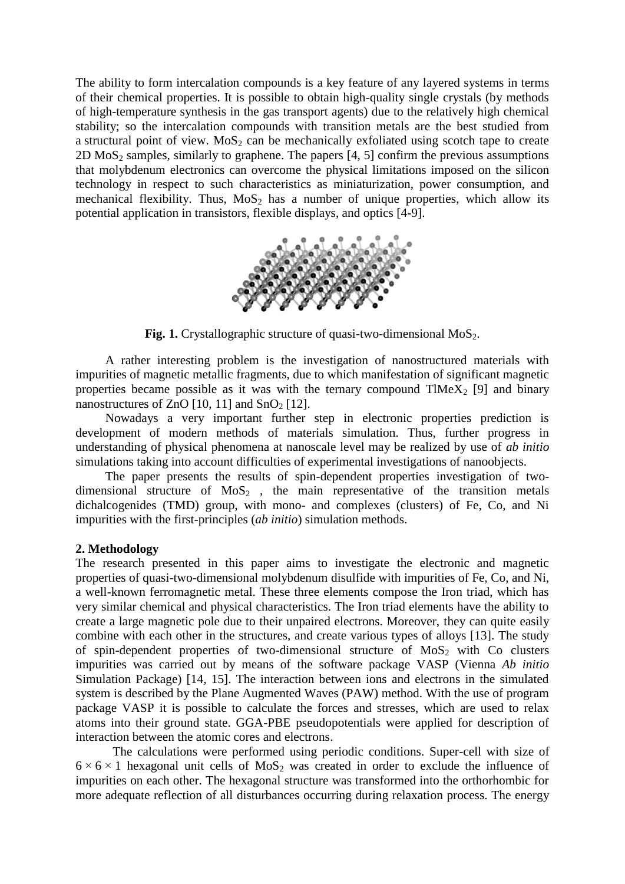The ability to form intercalation compounds is a key feature of any layered systems in terms of their chemical properties. It is possible to obtain high-quality single crystals (by methods of high-temperature synthesis in the gas transport agents) due to the relatively high chemical stability; so the intercalation compounds with transition metals are the best studied from a structural point of view.  $MoS<sub>2</sub>$  can be mechanically exfoliated using scotch tape to create 2D MoS<sub>2</sub> samples, similarly to graphene. The papers  $[4, 5]$  confirm the previous assumptions that molybdenum electronics can overcome the physical limitations imposed on the silicon technology in respect to such characteristics as miniaturization, power consumption, and mechanical flexibility. Thus,  $MoS<sub>2</sub>$  has a number of unique properties, which allow its potential application in transistors, flexible displays, and optics [4-9].



**Fig. 1.** Crystallographic structure of quasi-two-dimensional MoS<sub>2</sub>.

A rather interesting problem is the investigation of nanostructured materials with impurities of magnetic metallic fragments, due to which manifestation of significant magnetic properties became possible as it was with the ternary compound  $TIMEX<sub>2</sub>$  [9] and binary nanostructures of ZnO  $[10, 11]$  and SnO<sub>2</sub>  $[12]$ .

Nowadays a very important further step in electronic properties prediction is development of modern methods of materials simulation. Thus, further progress in understanding of physical phenomena at nanoscale level may be realized by use of *ab initio* simulations taking into account difficulties of experimental investigations of nanoobjects.

The paper presents the results of spin-dependent properties investigation of twodimensional structure of  $MoS<sub>2</sub>$ , the main representative of the transition metals dichalcogenides (TMD) group, with mono- and complexes (clusters) of Fe, Co, and Ni impurities with the first-principles (*ab initio*) simulation methods.

## **2. Methodology**

The research presented in this paper aims to investigate the electronic and magnetic properties of quasi-two-dimensional molybdenum disulfide with impurities of Fe, Co, and Ni, a well-known ferromagnetic metal. These three elements compose the Iron triad, which has very similar chemical and physical characteristics. The Iron triad elements have the ability to create a large magnetic pole due to their unpaired electrons. Moreover, they can quite easily combine with each other in the structures, and create various types of alloys [13]. The study of spin-dependent properties of two-dimensional structure of  $MoS<sub>2</sub>$  with Co clusters impurities was carried out by means of the software package VASP (Vienna *Ab initio* Simulation Package) [14, 15]. The interaction between ions and electrons in the simulated system is described by the Plane Augmented Waves (PAW) method. With the use of program package VASP it is possible to calculate the forces and stresses, which are used to relax atoms into their ground state. GGA-PBE pseudopotentials were applied for description of interaction between the atomic cores and electrons.

The calculations were performed using periodic conditions. Super-cell with size of  $6 \times 6 \times 1$  hexagonal unit cells of MoS<sub>2</sub> was created in order to exclude the influence of impurities on each other. The hexagonal structure was transformed into the orthorhombic for more adequate reflection of all disturbances occurring during relaxation process. The energy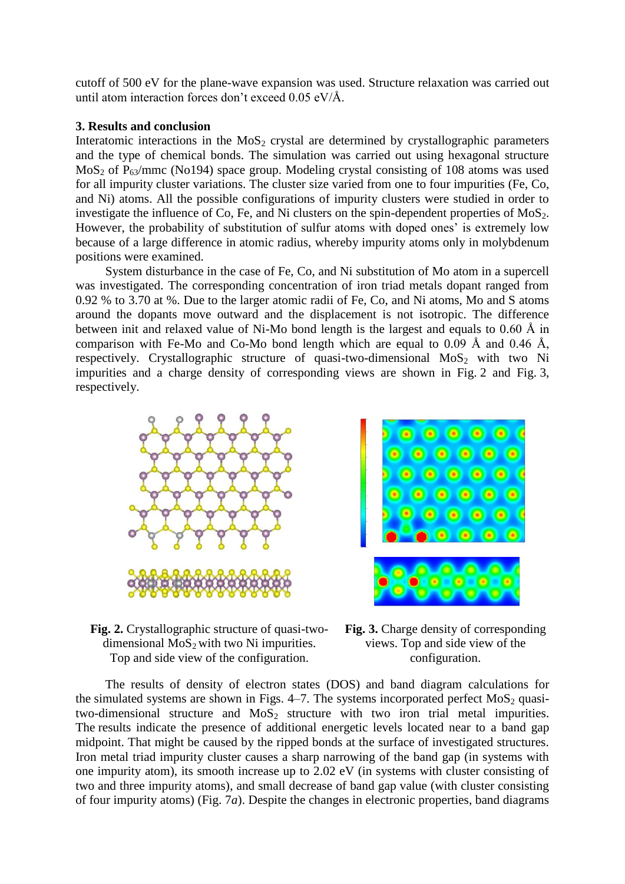cutoff of 500 eV for the plane-wave expansion was used. Structure relaxation was carried out until atom interaction forces don't exceed 0.05 eV/Å.

## **3. Results and conclusion**

Interatomic interactions in the  $MoS<sub>2</sub>$  crystal are determined by crystallographic parameters and the type of chemical bonds. The simulation was carried out using hexagonal structure MoS<sub>2</sub> of P<sub>63</sub>/mmc (No194) space group. Modeling crystal consisting of 108 atoms was used for all impurity cluster variations. The cluster size varied from one to four impurities (Fe, Co, and Ni) atoms. All the possible configurations of impurity clusters were studied in order to investigate the influence of Co, Fe, and Ni clusters on the spin-dependent properties of  $MoS<sub>2</sub>$ . However, the probability of substitution of sulfur atoms with doped ones' is extremely low because of a large difference in atomic radius, whereby impurity atoms only in molybdenum positions were examined.

System disturbance in the case of Fe, Co, and Ni substitution of Mo atom in a supercell was investigated. The corresponding concentration of iron triad metals dopant ranged from 0.92 % to 3.70 at %. Due to the larger atomic radii of Fe, Co, and Ni atoms, Mo and S atoms around the dopants move outward and the displacement is not isotropic. The difference between init and relaxed value of Ni-Mo bond length is the largest and equals to 0.60 Å in comparison with Fe-Mo and Co-Mo bond length which are equal to  $0.09 \text{ Å}$  and  $0.46 \text{ Å}$ , respectively. Crystallographic structure of quasi-two-dimensional  $M_0S_2$  with two Ni impurities and a charge density of corresponding views are shown in Fig. 2 and Fig. 3, respectively.



**Fig. 2.** Crystallographic structure of quasi-twodimensional  $MoS<sub>2</sub>$  with two Ni impurities. Top and side view of the configuration.

**Fig. 3.** Charge density of corresponding views. Top and side view of the configuration.

The results of density of electron states (DOS) and band diagram calculations for the simulated systems are shown in Figs.  $4-7$ . The systems incorporated perfect MoS<sub>2</sub> quasitwo-dimensional structure and  $MoS<sub>2</sub>$  structure with two iron trial metal impurities. The results indicate the presence of additional energetic levels located near to a band gap midpoint. That might be caused by the ripped bonds at the surface of investigated structures. Iron metal triad impurity cluster causes a sharp narrowing of the band gap (in systems with one impurity atom), its smooth increase up to 2.02 eV (in systems with cluster consisting of two and three impurity atoms), and small decrease of band gap value (with cluster consisting of four impurity atoms) (Fig. 7*a*). Despite the changes in electronic properties, band diagrams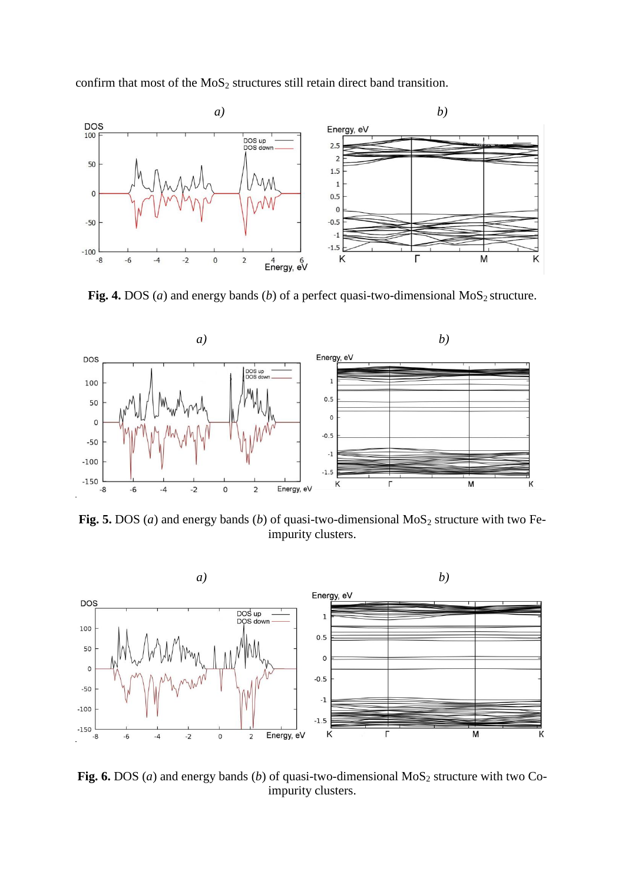confirm that most of the  $MoS<sub>2</sub>$  structures still retain direct band transition.



Fig. 4. DOS ( $a$ ) and energy bands ( $b$ ) of a perfect quasi-two-dimensional MoS<sub>2</sub> structure.



Fig. 5. DOS (*a*) and energy bands (*b*) of quasi-two-dimensional  $MoS<sub>2</sub>$  structure with two Feimpurity clusters.



Fig. 6. DOS (*a*) and energy bands (*b*) of quasi-two-dimensional  $MoS<sub>2</sub>$  structure with two Coimpurity clusters.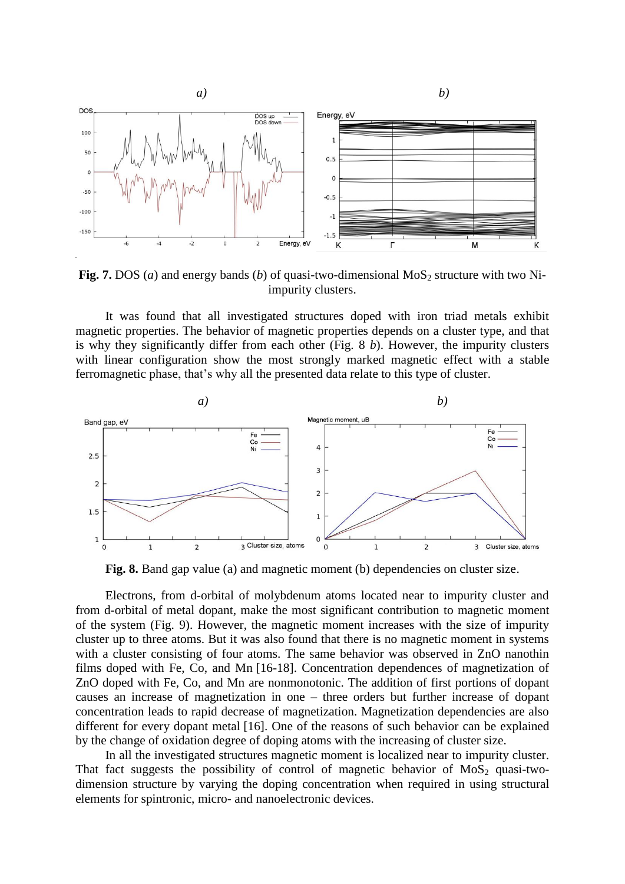

**Fig. 7.** DOS (*a*) and energy bands (*b*) of quasi-two-dimensional MoS<sub>2</sub> structure with two Niimpurity clusters.

It was found that all investigated structures doped with iron triad metals exhibit magnetic properties. The behavior of magnetic properties depends on a cluster type, and that is why they significantly differ from each other (Fig. 8 *b*). However, the impurity clusters with linear configuration show the most strongly marked magnetic effect with a stable ferromagnetic phase, that's why all the presented data relate to this type of cluster.



**Fig. 8.** Band gap value (a) and magnetic moment (b) dependencies on cluster size.

Electrons, from d-orbital of molybdenum atoms located near to impurity cluster and from d-orbital of metal dopant, make the most significant contribution to magnetic moment of the system (Fig. 9). However, the magnetic moment increases with the size of impurity cluster up to three atoms. But it was also found that there is no magnetic moment in systems with a cluster consisting of four atoms. The same behavior was observed in ZnO nanothin films doped with Fe, Co, and Mn [16-18]. Concentration dependences of magnetization of ZnO doped with Fe, Co, and Mn are nonmonotonic. The addition of first portions of dopant causes an increase of magnetization in one – three orders but further increase of dopant concentration leads to rapid decrease of magnetization. Magnetization dependencies are also different for every dopant metal [16]. One of the reasons of such behavior can be explained by the change of oxidation degree of doping atoms with the increasing of cluster size.

In all the investigated structures magnetic moment is localized near to impurity cluster. That fact suggests the possibility of control of magnetic behavior of  $MoS<sub>2</sub>$  quasi-twodimension structure by varying the doping concentration when required in using structural elements for spintronic, micro- and nanoelectronic devices.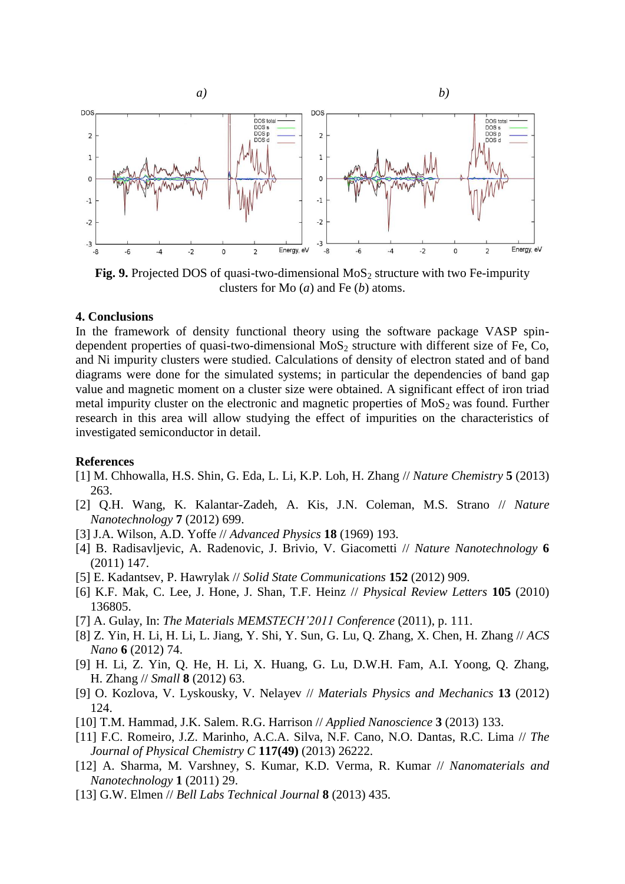

**Fig. 9.** Projected DOS of quasi-two-dimensional MoS<sub>2</sub> structure with two Fe-impurity clusters for Mo (*a*) and Fe (*b*) atoms.

# **4. Conclusions**

In the framework of density functional theory using the software package VASP spindependent properties of quasi-two-dimensional  $MoS<sub>2</sub>$  structure with different size of Fe, Co, and Ni impurity clusters were studied. Calculations of density of electron stated and of band diagrams were done for the simulated systems; in particular the dependencies of band gap value and magnetic moment on a cluster size were obtained. A significant effect of iron triad metal impurity cluster on the electronic and magnetic properties of  $MoS<sub>2</sub>$  was found. Further research in this area will allow studying the effect of impurities on the characteristics of investigated semiconductor in detail.

#### **References**

- [1] M. Chhowalla, H.S. Shin, G. Eda, L. Li, K.P. Loh, H. Zhang // *Nature Chemistry* **5** (2013) 263.
- [2] Q.H. Wang, K. Kalantar-Zadeh, A. Kis, J.N. Coleman, M.S. Strano // *Nature Nanotechnology* **7** (2012) 699.
- [3] J.A. Wilson, A.D. Yoffe // *Advanced Physics* **18** (1969) 193.
- [4] B. Radisavljevic, A. Radenovic, J. Brivio, V. Giacometti // *Nature Nanotechnology* **6** (2011) 147.
- [5] E. Kadantsev, P. Hawrylak // *Solid State Communications* **152** (2012) 909.
- [6] K.F. Mak, C. Lee, J. Hone, J. Shan, T.F. Heinz // *Physical Review Letters* **105** (2010) 136805.
- [7] A. Gulay, In: *The Materials MEMSTECH'2011 Conference* (2011), p. 111.
- [8] Z. Yin, H. Li, H. Li, L. Jiang, Y. Shi, Y. Sun, G. Lu, Q. Zhang, X. Chen, H. Zhang // *ACS Nano* **6** (2012) 74.
- [9] H. Li, Z. Yin, Q. He, H. Li, X. Huang, G. Lu, D.W.H. Fam, A.I. Yoong, Q. Zhang, H. Zhang // *Small* **8** (2012) 63.
- [9] O. Kozlova, V. Lyskousky, V. Nelayev // *Materials Physics and Mechanics* **13** (2012) 124.
- [10] T.M. Hammad, J.K. Salem. R.G. Harrison // *Applied Nanoscience* **3** (2013) 133.
- [11] F.C. Romeiro, J.Z. Marinho, A.C.A. Silva, N.F. Cano, N.O. Dantas, R.C. Lima // *The Journal of Physical Chemistry C* **117(49)** (2013) 26222.
- [12] A. Sharma, M. Varshney, S. Kumar, K.D. Verma, R. Kumar // *Nanomaterials and Nanotechnology* **1** (2011) 29.
- [13] G.W. Elmen // *Bell Labs Technical Journal* **8** (2013) 435.